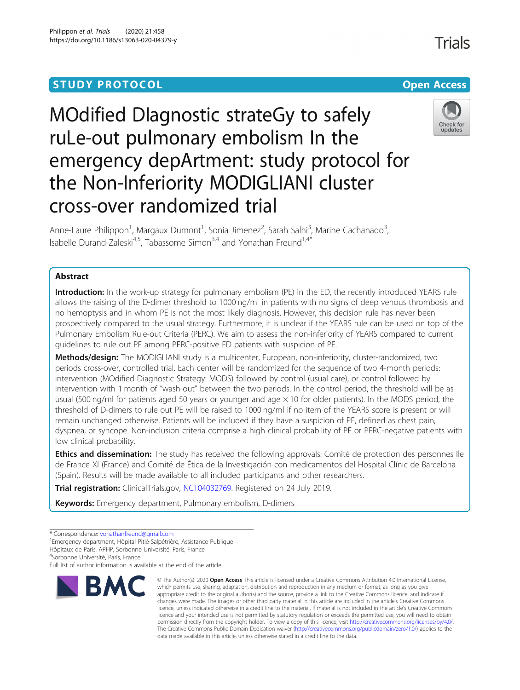# **STUDY PROTOCOL CONSUMING THE RESERVE ACCESS**

# MOdified DIagnostic strateGy to safely ruLe-out pulmonary embolism In the emergency depArtment: study protocol for the Non-Inferiority MODIGLIANI cluster cross-over randomized trial



Anne-Laure Philippon<sup>1</sup>, Margaux Dumont<sup>1</sup>, Sonia Jimenez<sup>2</sup>, Sarah Salhi<sup>3</sup>, Marine Cachanado<sup>3</sup> , Isabelle Durand-Zaleski<sup>4,5</sup>, Tabassome Simon<sup>3,4</sup> and Yonathan Freund<sup>1,4\*</sup>

# Abstract

Introduction: In the work-up strategy for pulmonary embolism (PE) in the ED, the recently introduced YEARS rule allows the raising of the D-dimer threshold to 1000 ng/ml in patients with no signs of deep venous thrombosis and no hemoptysis and in whom PE is not the most likely diagnosis. However, this decision rule has never been prospectively compared to the usual strategy. Furthermore, it is unclear if the YEARS rule can be used on top of the Pulmonary Embolism Rule-out Criteria (PERC). We aim to assess the non-inferiority of YEARS compared to current guidelines to rule out PE among PERC-positive ED patients with suspicion of PE.

Methods/design: The MODIGLIANI study is a multicenter, European, non-inferiority, cluster-randomized, two periods cross-over, controlled trial. Each center will be randomized for the sequence of two 4-month periods: intervention (MOdified Diagnostic Strategy: MODS) followed by control (usual care), or control followed by intervention with 1 month of "wash-out" between the two periods. In the control period, the threshold will be as usual (500 ng/ml for patients aged 50 years or younger and age  $\times$  10 for older patients). In the MODS period, the threshold of D-dimers to rule out PE will be raised to 1000 ng/ml if no item of the YEARS score is present or will remain unchanged otherwise. Patients will be included if they have a suspicion of PE, defined as chest pain, dyspnea, or syncope. Non-inclusion criteria comprise a high clinical probability of PE or PERC-negative patients with low clinical probability.

**Ethics and dissemination:** The study has received the following approvals: Comité de protection des personnes lle de France XI (France) and Comité de Ética de la Investigación con medicamentos del Hospital Clínic de Barcelona (Spain). Results will be made available to all included participants and other researchers.

Trial registration: ClinicalTrials.gov, [NCT04032769.](https://clinicaltrials.gov/ct2/show/NCT04032769) Registered on 24 July 2019.

Keywords: Emergency department, Pulmonary embolism, D-dimers

4 Sorbonne Université, Paris, France

Full list of author information is available at the end of the article



<sup>©</sup> The Author(s), 2020 **Open Access** This article is licensed under a Creative Commons Attribution 4.0 International License, which permits use, sharing, adaptation, distribution and reproduction in any medium or format, as long as you give appropriate credit to the original author(s) and the source, provide a link to the Creative Commons licence, and indicate if changes were made. The images or other third party material in this article are included in the article's Creative Commons licence, unless indicated otherwise in a credit line to the material. If material is not included in the article's Creative Commons licence and your intended use is not permitted by statutory regulation or exceeds the permitted use, you will need to obtain permission directly from the copyright holder. To view a copy of this licence, visit [http://creativecommons.org/licenses/by/4.0/.](http://creativecommons.org/licenses/by/4.0/) The Creative Commons Public Domain Dedication waiver [\(http://creativecommons.org/publicdomain/zero/1.0/](http://creativecommons.org/publicdomain/zero/1.0/)) applies to the data made available in this article, unless otherwise stated in a credit line to the data.

<sup>\*</sup> Correspondence: [yonathanfreund@gmail.com](mailto:yonathanfreund@gmail.com) <sup>1</sup>

Emergency department, Hôpital Pitié-Salpêtrière, Assistance Publique –

Hôpitaux de Paris, APHP, Sorbonne Université, Paris, France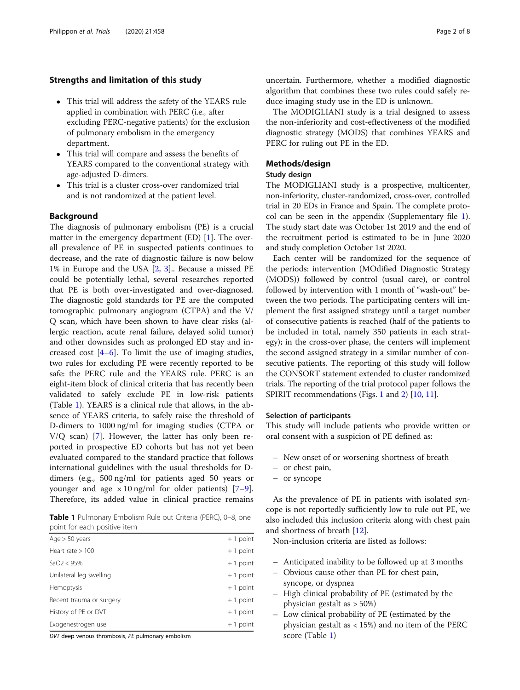# Strengths and limitation of this study

- This trial will address the safety of the YEARS rule applied in combination with PERC (i.e., after excluding PERC-negative patients) for the exclusion of pulmonary embolism in the emergency department.
- This trial will compare and assess the benefits of YEARS compared to the conventional strategy with age-adjusted D-dimers.
- This trial is a cluster cross-over randomized trial and is not randomized at the patient level.

### **Background**

The diagnosis of pulmonary embolism (PE) is a crucial matter in the emergency department (ED) [[1](#page-6-0)]. The overall prevalence of PE in suspected patients continues to decrease, and the rate of diagnostic failure is now below 1% in Europe and the USA [\[2](#page-6-0), [3\]](#page-7-0).. Because a missed PE could be potentially lethal, several researches reported that PE is both over-investigated and over-diagnosed. The diagnostic gold standards for PE are the computed tomographic pulmonary angiogram (CTPA) and the V/ Q scan, which have been shown to have clear risks (allergic reaction, acute renal failure, delayed solid tumor) and other downsides such as prolonged ED stay and increased cost  $[4-6]$  $[4-6]$  $[4-6]$  $[4-6]$ . To limit the use of imaging studies, two rules for excluding PE were recently reported to be safe: the PERC rule and the YEARS rule. PERC is an eight-item block of clinical criteria that has recently been validated to safely exclude PE in low-risk patients (Table 1). YEARS is a clinical rule that allows, in the absence of YEARS criteria, to safely raise the threshold of D-dimers to 1000 ng/ml for imaging studies (CTPA or V/Q scan) [\[7](#page-7-0)]. However, the latter has only been reported in prospective ED cohorts but has not yet been evaluated compared to the standard practice that follows international guidelines with the usual thresholds for Ddimers (e.g., 500 ng/ml for patients aged 50 years or younger and age  $\times$  10 ng/ml for older patients) [\[7](#page-7-0)–[9](#page-7-0)]. Therefore, its added value in clinical practice remains

Table 1 Pulmonary Embolism Rule out Criteria (PERC), 0-8, one point for each positive item

| Age $>$ 50 years         | $+1$ point |
|--------------------------|------------|
| Heart rate $>100$        | $+1$ point |
| SaO2 < 95%               | $+1$ point |
| Unilateral leg swelling  | $+1$ point |
| Hemoptysis               | $+1$ point |
| Recent trauma or surgery | $+1$ point |
| History of PE or DVT     | $+1$ point |
| Exogenestrogen use       | $+1$ point |

DVT deep venous thrombosis, PE pulmonary embolism

uncertain. Furthermore, whether a modified diagnostic algorithm that combines these two rules could safely reduce imaging study use in the ED is unknown.

The MODIGLIANI study is a trial designed to assess the non-inferiority and cost-effectiveness of the modified diagnostic strategy (MODS) that combines YEARS and PERC for ruling out PE in the ED.

# Methods/design

# Study design

The MODIGLIANI study is a prospective, multicenter, non-inferiority, cluster-randomized, cross-over, controlled trial in 20 EDs in France and Spain. The complete protocol can be seen in the appendix (Supplementary file [1](#page-6-0)). The study start date was October 1st 2019 and the end of the recruitment period is estimated to be in June 2020 and study completion October 1st 2020.

Each center will be randomized for the sequence of the periods: intervention (MOdified Diagnostic Strategy (MODS)) followed by control (usual care), or control followed by intervention with 1 month of "wash-out" between the two periods. The participating centers will implement the first assigned strategy until a target number of consecutive patients is reached (half of the patients to be included in total, namely 350 patients in each strategy); in the cross-over phase, the centers will implement the second assigned strategy in a similar number of consecutive patients. The reporting of this study will follow the CONSORT statement extended to cluster randomized trials. The reporting of the trial protocol paper follows the SPIRIT recommendations (Figs. [1](#page-2-0) and [2](#page-3-0)) [\[10,](#page-7-0) [11](#page-7-0)].

# Selection of participants

This study will include patients who provide written or oral consent with a suspicion of PE defined as:

- New onset of or worsening shortness of breath
- or chest pain,
- or syncope

As the prevalence of PE in patients with isolated syncope is not reportedly sufficiently low to rule out PE, we also included this inclusion criteria along with chest pain and shortness of breath [\[12](#page-7-0)].

Non-inclusion criteria are listed as follows:

- Anticipated inability to be followed up at 3 months
- Obvious cause other than PE for chest pain, syncope, or dyspnea
- High clinical probability of PE (estimated by the physician gestalt as > 50%)
- Low clinical probability of PE (estimated by the physician gestalt as < 15%) and no item of the PERC score (Table 1)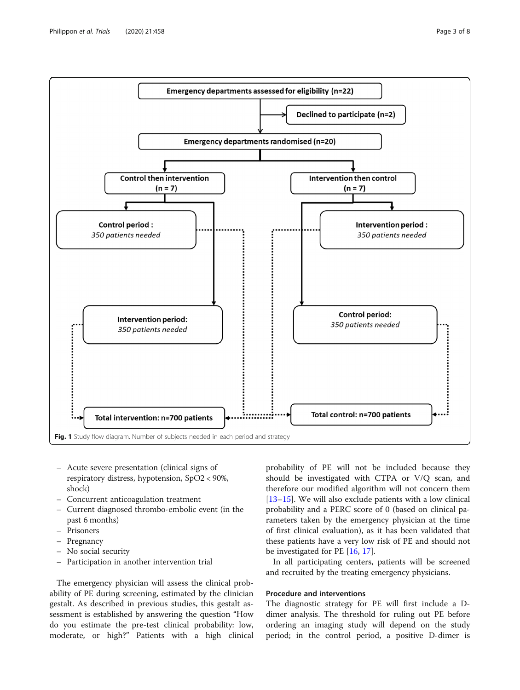<span id="page-2-0"></span>

- Acute severe presentation (clinical signs of respiratory distress, hypotension, SpO2 < 90%, shock)
- Concurrent anticoagulation treatment
- Current diagnosed thrombo-embolic event (in the past 6 months)
- Prisoners
- Pregnancy
- No social security
- Participation in another intervention trial

The emergency physician will assess the clinical probability of PE during screening, estimated by the clinician gestalt. As described in previous studies, this gestalt assessment is established by answering the question "How do you estimate the pre-test clinical probability: low, moderate, or high?" Patients with a high clinical

probability of PE will not be included because they should be investigated with CTPA or V/Q scan, and therefore our modified algorithm will not concern them [[13](#page-7-0)–[15](#page-7-0)]. We will also exclude patients with a low clinical probability and a PERC score of 0 (based on clinical parameters taken by the emergency physician at the time of first clinical evaluation), as it has been validated that these patients have a very low risk of PE and should not be investigated for PE [\[16,](#page-7-0) [17\]](#page-7-0).

In all participating centers, patients will be screened and recruited by the treating emergency physicians.

# Procedure and interventions

The diagnostic strategy for PE will first include a Ddimer analysis. The threshold for ruling out PE before ordering an imaging study will depend on the study period; in the control period, a positive D-dimer is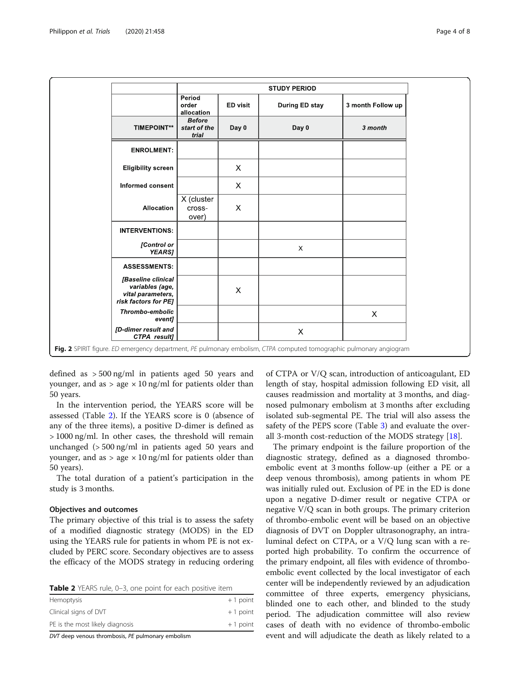<span id="page-3-0"></span>

|                                                                                    | <b>STUDY PERIOD</b>                    |          |                |                   |
|------------------------------------------------------------------------------------|----------------------------------------|----------|----------------|-------------------|
|                                                                                    | Period<br>order<br>allocation          | ED visit | During ED stay | 3 month Follow up |
| <b>TIMEPOINT**</b>                                                                 | <b>Before</b><br>start of the<br>trial | Day 0    | Day 0          | 3 month           |
| <b>ENROLMENT:</b>                                                                  |                                        |          |                |                   |
| <b>Eligibility screen</b>                                                          |                                        | X        |                |                   |
| Informed consent                                                                   |                                        | X        |                |                   |
| Allocation                                                                         | X (cluster<br>cross-<br>over)          | X        |                |                   |
| <b>INTERVENTIONS:</b>                                                              |                                        |          |                |                   |
| [Control or<br><b>YEARS]</b>                                                       |                                        |          | X              |                   |
| <b>ASSESSMENTS:</b>                                                                |                                        |          |                |                   |
| [Baseline clinical<br>variables (age,<br>vital parameters,<br>risk factors for PE] |                                        | X        |                |                   |
| Thrombo-embolic<br>event]                                                          |                                        |          |                | $\times$          |
| [D-dimer result and<br>CTPA result]                                                |                                        |          | X              |                   |

defined as > 500 ng/ml in patients aged 50 years and younger, and as  $>$  age  $\times$  10 ng/ml for patients older than 50 years.

In the intervention period, the YEARS score will be assessed (Table 2). If the YEARS score is 0 (absence of any of the three items), a positive D-dimer is defined as > 1000 ng/ml. In other cases, the threshold will remain unchanged (> 500 ng/ml in patients aged 50 years and younger, and as  $>$  age  $\times$  10 ng/ml for patients older than 50 years).

The total duration of a patient's participation in the study is 3 months.

### Objectives and outcomes

The primary objective of this trial is to assess the safety of a modified diagnostic strategy (MODS) in the ED using the YEARS rule for patients in whom PE is not excluded by PERC score. Secondary objectives are to assess the efficacy of the MODS strategy in reducing ordering

| Table 2 YEARS rule, 0-3, one point for each positive item |  |  |  |  |  |
|-----------------------------------------------------------|--|--|--|--|--|
|-----------------------------------------------------------|--|--|--|--|--|

| .<br>----                       |            |
|---------------------------------|------------|
| PE is the most likely diagnosis | $+1$ point |
| Clinical signs of DVT           | $+1$ point |
| Hemoptysis                      | $+1$ point |
|                                 |            |

DVT deep venous thrombosis, PE pulmonary embolism

of CTPA or V/Q scan, introduction of anticoagulant, ED length of stay, hospital admission following ED visit, all causes readmission and mortality at 3 months, and diagnosed pulmonary embolism at 3 months after excluding isolated sub-segmental PE. The trial will also assess the safety of the PEPS score (Table [3\)](#page-4-0) and evaluate the overall 3-month cost-reduction of the MODS strategy [\[18](#page-7-0)].

The primary endpoint is the failure proportion of the diagnostic strategy, defined as a diagnosed thromboembolic event at 3 months follow-up (either a PE or a deep venous thrombosis), among patients in whom PE was initially ruled out. Exclusion of PE in the ED is done upon a negative D-dimer result or negative CTPA or negative V/Q scan in both groups. The primary criterion of thrombo-embolic event will be based on an objective diagnosis of DVT on Doppler ultrasonography, an intraluminal defect on CTPA, or a V/Q lung scan with a reported high probability. To confirm the occurrence of the primary endpoint, all files with evidence of thromboembolic event collected by the local investigator of each center will be independently reviewed by an adjudication committee of three experts, emergency physicians, blinded one to each other, and blinded to the study period. The adjudication committee will also review cases of death with no evidence of thrombo-embolic event and will adjudicate the death as likely related to a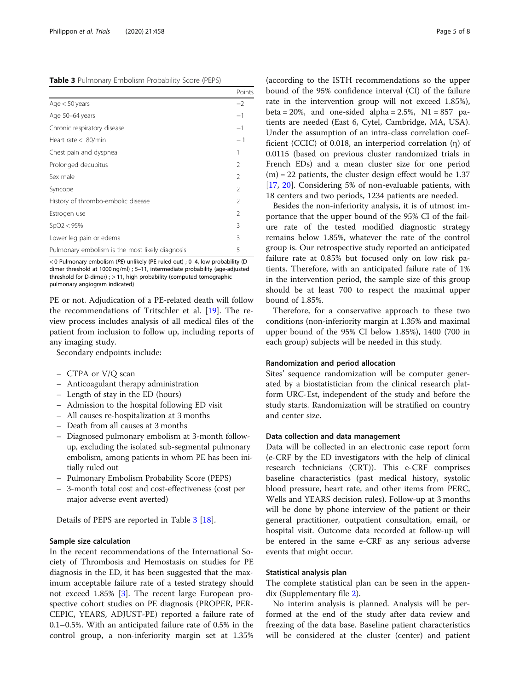<span id="page-4-0"></span>

| <b>Table 3</b> Pulmonary Embolism Probability Score (PEPS) |
|------------------------------------------------------------|
|------------------------------------------------------------|

|                                                 | Points         |
|-------------------------------------------------|----------------|
| Age $<$ 50 years                                | $-2$           |
| Age 50-64 years                                 | $-1$           |
| Chronic respiratory disease                     | $-1$           |
| Heart rate $< 80$ /min                          | $-1$           |
| Chest pain and dyspnea                          | 1              |
| Prolonged decubitus                             | $\mathfrak{D}$ |
| Sex male                                        | $\mathfrak{D}$ |
| Syncope                                         | 2              |
| History of thrombo-embolic disease              | $\mathfrak{D}$ |
| Estrogen use                                    | $\mathcal{P}$  |
| SpO2 < 95%                                      | 3              |
| Lower leg pain or edema                         | 3              |
| Pulmonary embolism is the most likely diagnosis | 5              |

< 0 Pulmonary embolism (PE) unlikely (PE ruled out) ; 0–4, low probability (Ddimer threshold at 1000 ng/ml) ; 5–11, intermediate probability (age-adjusted threshold for D-dimer) ; > 11, high probability (computed tomographic pulmonary angiogram indicated)

PE or not. Adjudication of a PE-related death will follow the recommendations of Tritschler et al. [\[19](#page-7-0)]. The review process includes analysis of all medical files of the patient from inclusion to follow up, including reports of any imaging study.

Secondary endpoints include:

- CTPA or V/Q scan
- Anticoagulant therapy administration
- Length of stay in the ED (hours)
- Admission to the hospital following ED visit
- All causes re-hospitalization at 3 months
- Death from all causes at 3 months
- Diagnosed pulmonary embolism at 3-month followup, excluding the isolated sub-segmental pulmonary embolism, among patients in whom PE has been initially ruled out
- Pulmonary Embolism Probability Score (PEPS)
- 3-month total cost and cost-effectiveness (cost per major adverse event averted)

Details of PEPS are reported in Table 3 [\[18](#page-7-0)].

# Sample size calculation

In the recent recommendations of the International Society of Thrombosis and Hemostasis on studies for PE diagnosis in the ED, it has been suggested that the maximum acceptable failure rate of a tested strategy should not exceed 1.85% [[3\]](#page-7-0). The recent large European prospective cohort studies on PE diagnosis (PROPER, PER-CEPIC, YEARS, ADJUST-PE) reported a failure rate of 0.1–0.5%. With an anticipated failure rate of 0.5% in the control group, a non-inferiority margin set at 1.35% (according to the ISTH recommendations so the upper bound of the 95% confidence interval (CI) of the failure rate in the intervention group will not exceed 1.85%), beta =  $20\%$ , and one-sided alpha =  $2.5\%$ , N1 =  $857$  patients are needed (East 6, Cytel, Cambridge, MA, USA). Under the assumption of an intra-class correlation coefficient (CCIC) of 0.018, an interperiod correlation (η) of 0.0115 (based on previous cluster randomized trials in French EDs) and a mean cluster size for one period  $(m) = 22$  patients, the cluster design effect would be 1.37 [[17,](#page-7-0) [20](#page-7-0)]. Considering 5% of non-evaluable patients, with 18 centers and two periods, 1234 patients are needed.

Besides the non-inferiority analysis, it is of utmost importance that the upper bound of the 95% CI of the failure rate of the tested modified diagnostic strategy remains below 1.85%, whatever the rate of the control group is. Our retrospective study reported an anticipated failure rate at 0.85% but focused only on low risk patients. Therefore, with an anticipated failure rate of 1% in the intervention period, the sample size of this group should be at least 700 to respect the maximal upper bound of 1.85%.

Therefore, for a conservative approach to these two conditions (non-inferiority margin at 1.35% and maximal upper bound of the 95% CI below 1.85%), 1400 (700 in each group) subjects will be needed in this study.

### Randomization and period allocation

Sites' sequence randomization will be computer generated by a biostatistician from the clinical research platform URC-Est, independent of the study and before the study starts. Randomization will be stratified on country and center size.

# Data collection and data management

Data will be collected in an electronic case report form (e-CRF by the ED investigators with the help of clinical research technicians (CRT)). This e-CRF comprises baseline characteristics (past medical history, systolic blood pressure, heart rate, and other items from PERC, Wells and YEARS decision rules). Follow-up at 3 months will be done by phone interview of the patient or their general practitioner, outpatient consultation, email, or hospital visit. Outcome data recorded at follow-up will be entered in the same e-CRF as any serious adverse events that might occur.

### Statistical analysis plan

The complete statistical plan can be seen in the appendix (Supplementary file [2\)](#page-6-0).

No interim analysis is planned. Analysis will be performed at the end of the study after data review and freezing of the data base. Baseline patient characteristics will be considered at the cluster (center) and patient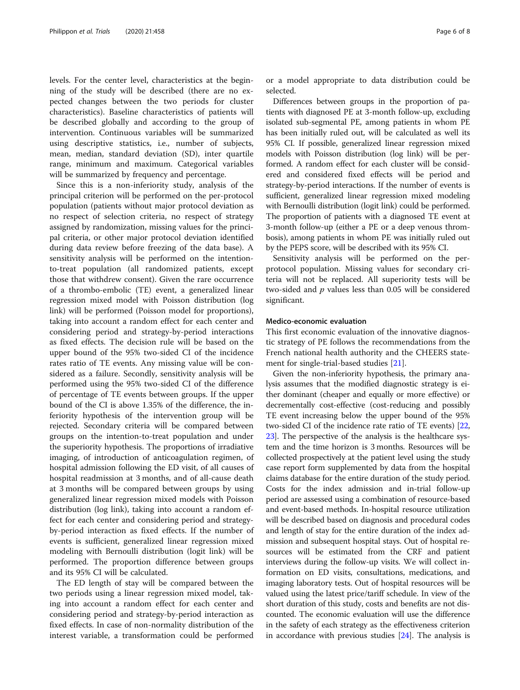levels. For the center level, characteristics at the beginning of the study will be described (there are no expected changes between the two periods for cluster characteristics). Baseline characteristics of patients will be described globally and according to the group of intervention. Continuous variables will be summarized using descriptive statistics, i.e., number of subjects, mean, median, standard deviation (SD), inter quartile range, minimum and maximum. Categorical variables will be summarized by frequency and percentage.

Since this is a non-inferiority study, analysis of the principal criterion will be performed on the per-protocol population (patients without major protocol deviation as no respect of selection criteria, no respect of strategy assigned by randomization, missing values for the principal criteria, or other major protocol deviation identified during data review before freezing of the data base). A sensitivity analysis will be performed on the intentionto-treat population (all randomized patients, except those that withdrew consent). Given the rare occurrence of a thrombo-embolic (TE) event, a generalized linear regression mixed model with Poisson distribution (log link) will be performed (Poisson model for proportions), taking into account a random effect for each center and considering period and strategy-by-period interactions as fixed effects. The decision rule will be based on the upper bound of the 95% two-sided CI of the incidence rates ratio of TE events. Any missing value will be considered as a failure. Secondly, sensitivity analysis will be performed using the 95% two-sided CI of the difference of percentage of TE events between groups. If the upper bound of the CI is above 1.35% of the difference, the inferiority hypothesis of the intervention group will be rejected. Secondary criteria will be compared between groups on the intention-to-treat population and under the superiority hypothesis. The proportions of irradiative imaging, of introduction of anticoagulation regimen, of hospital admission following the ED visit, of all causes of hospital readmission at 3 months, and of all-cause death at 3 months will be compared between groups by using generalized linear regression mixed models with Poisson distribution (log link), taking into account a random effect for each center and considering period and strategyby-period interaction as fixed effects. If the number of events is sufficient, generalized linear regression mixed modeling with Bernoulli distribution (logit link) will be performed. The proportion difference between groups and its 95% CI will be calculated.

The ED length of stay will be compared between the two periods using a linear regression mixed model, taking into account a random effect for each center and considering period and strategy-by-period interaction as fixed effects. In case of non-normality distribution of the interest variable, a transformation could be performed or a model appropriate to data distribution could be selected.

Differences between groups in the proportion of patients with diagnosed PE at 3-month follow-up, excluding isolated sub-segmental PE, among patients in whom PE has been initially ruled out, will be calculated as well its 95% CI. If possible, generalized linear regression mixed models with Poisson distribution (log link) will be performed. A random effect for each cluster will be considered and considered fixed effects will be period and strategy-by-period interactions. If the number of events is sufficient, generalized linear regression mixed modeling with Bernoulli distribution (logit link) could be performed. The proportion of patients with a diagnosed TE event at 3-month follow-up (either a PE or a deep venous thrombosis), among patients in whom PE was initially ruled out by the PEPS score, will be described with its 95% CI.

Sensitivity analysis will be performed on the perprotocol population. Missing values for secondary criteria will not be replaced. All superiority tests will be two-sided and  $p$  values less than 0.05 will be considered significant.

### Medico-economic evaluation

This first economic evaluation of the innovative diagnostic strategy of PE follows the recommendations from the French national health authority and the CHEERS statement for single-trial-based studies [[21](#page-7-0)].

Given the non-inferiority hypothesis, the primary analysis assumes that the modified diagnostic strategy is either dominant (cheaper and equally or more effective) or decrementally cost-effective (cost-reducing and possibly TE event increasing below the upper bound of the 95% two-sided CI of the incidence rate ratio of TE events) [[22](#page-7-0), [23](#page-7-0)]. The perspective of the analysis is the healthcare system and the time horizon is 3 months. Resources will be collected prospectively at the patient level using the study case report form supplemented by data from the hospital claims database for the entire duration of the study period. Costs for the index admission and in-trial follow-up period are assessed using a combination of resource-based and event-based methods. In-hospital resource utilization will be described based on diagnosis and procedural codes and length of stay for the entire duration of the index admission and subsequent hospital stays. Out of hospital resources will be estimated from the CRF and patient interviews during the follow-up visits. We will collect information on ED visits, consultations, medications, and imaging laboratory tests. Out of hospital resources will be valued using the latest price/tariff schedule. In view of the short duration of this study, costs and benefits are not discounted. The economic evaluation will use the difference in the safety of each strategy as the effectiveness criterion in accordance with previous studies [\[24\]](#page-7-0). The analysis is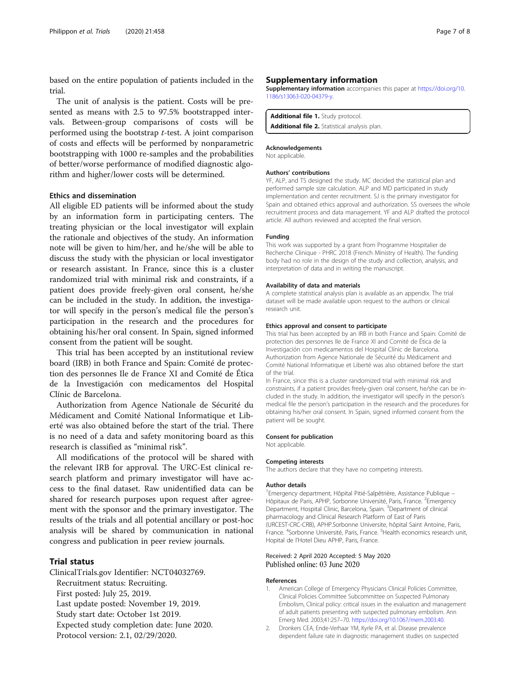<span id="page-6-0"></span>based on the entire population of patients included in the trial.

The unit of analysis is the patient. Costs will be presented as means with 2.5 to 97.5% bootstrapped intervals. Between-group comparisons of costs will be performed using the bootstrap t-test. A joint comparison of costs and effects will be performed by nonparametric bootstrapping with 1000 re-samples and the probabilities of better/worse performance of modified diagnostic algorithm and higher/lower costs will be determined.

# Ethics and dissemination

All eligible ED patients will be informed about the study by an information form in participating centers. The treating physician or the local investigator will explain the rationale and objectives of the study. An information note will be given to him/her, and he/she will be able to discuss the study with the physician or local investigator or research assistant. In France, since this is a cluster randomized trial with minimal risk and constraints, if a patient does provide freely-given oral consent, he/she can be included in the study. In addition, the investigator will specify in the person's medical file the person's participation in the research and the procedures for obtaining his/her oral consent. In Spain, signed informed consent from the patient will be sought.

This trial has been accepted by an institutional review board (IRB) in both France and Spain: Comité de protection des personnes Ile de France XI and Comité de Ética de la Investigación con medicamentos del Hospital Clínic de Barcelona.

Authorization from Agence Nationale de Sécurité du Médicament and Comité National Informatique et Liberté was also obtained before the start of the trial. There is no need of a data and safety monitoring board as this research is classified as "minimal risk".

All modifications of the protocol will be shared with the relevant IRB for approval. The URC-Est clinical research platform and primary investigator will have access to the final dataset. Raw unidentified data can be shared for research purposes upon request after agreement with the sponsor and the primary investigator. The results of the trials and all potential ancillary or post-hoc analysis will be shared by communication in national congress and publication in peer review journals.

# Trial status

ClinicalTrials.gov Identifier: NCT04032769.

Recruitment status: Recruiting.

First posted: July 25, 2019.

Last update posted: November 19, 2019.

Study start date: October 1st 2019.

Expected study completion date: June 2020.

Protocol version: 2.1, 02/29/2020.

# Supplementary information

Supplementary information accompanies this paper at [https://doi.org/10.](https://doi.org/10.1186/s13063-020-04379-y) [1186/s13063-020-04379-y](https://doi.org/10.1186/s13063-020-04379-y).

Additional file 1. Study protocol. Additional file 2. Statistical analysis plan.

### Acknowledgements

Not applicable.

### Authors' contributions

YF, ALP, and TS designed the study. MC decided the statistical plan and performed sample size calculation. ALP and MD participated in study implementation and center recruitment. SJ is the primary investigator for Spain and obtained ethics approval and authorization. SS oversees the whole recruitment process and data management. YF and ALP drafted the protocol article. All authors reviewed and accepted the final version.

### Funding

This work was supported by a grant from Programme Hospitalier de Recherche Clinique - PHRC 2018 (French Ministry of Health). The funding body had no role in the design of the study and collection, analysis, and interpretation of data and in writing the manuscript.

### Availability of data and materials

A complete statistical analysis plan is available as an appendix. The trial dataset will be made available upon request to the authors or clinical research unit.

#### Ethics approval and consent to participate

This trial has been accepted by an IRB in both France and Spain: Comité de protection des personnes Ile de France XI and Comité de Ética de la Investigación con medicamentos del Hospital Clínic de Barcelona. Authorization from Agence Nationale de Sécurité du Médicament and Comité National Informatique et Liberté was also obtained before the start of the trial.

In France, since this is a cluster randomized trial with minimal risk and constraints, if a patient provides freely-given oral consent, he/she can be included in the study. In addition, the investigator will specify in the person's medical file the person's participation in the research and the procedures for obtaining his/her oral consent. In Spain, signed informed consent from the patient will be sought.

#### Consent for publication

Not applicable.

### Competing interests

The authors declare that they have no competing interests.

#### Author details

<sup>1</sup> Emergency department, Hôpital Pitié-Salpêtrière, Assistance Publique -Hôpitaux de Paris, APHP, Sorbonne Université, Paris, France. <sup>2</sup>Emergency Department, Hospital Clinic, Barcelona, Spain. <sup>3</sup>Department of clinical pharmacology and Clinical Research Platform of East of Paris (URCEST-CRC-CRB), APHP.Sorbonne Universite, hôpital Saint Antoine, Paris, France. <sup>4</sup>Sorbonne Université, Paris, France. <sup>5</sup>Health economics research unit Hopital de l'Hotel Dieu APHP, Paris, France.

### Received: 2 April 2020 Accepted: 5 May 2020 Published online: 03 June 2020

#### References

- 1. American College of Emergency Physicians Clinical Policies Committee, Clinical Policies Committee Subcommittee on Suspected Pulmonary Embolism, Clinical policy: critical issues in the evaluation and management of adult patients presenting with suspected pulmonary embolism. Ann Emerg Med. 2003;41:257–70. <https://doi.org/10.1067/mem.2003.40>.
- 2. Dronkers CEA, Ende-Verhaar YM, Kyrle PA, et al. Disease prevalence dependent failure rate in diagnostic management studies on suspected